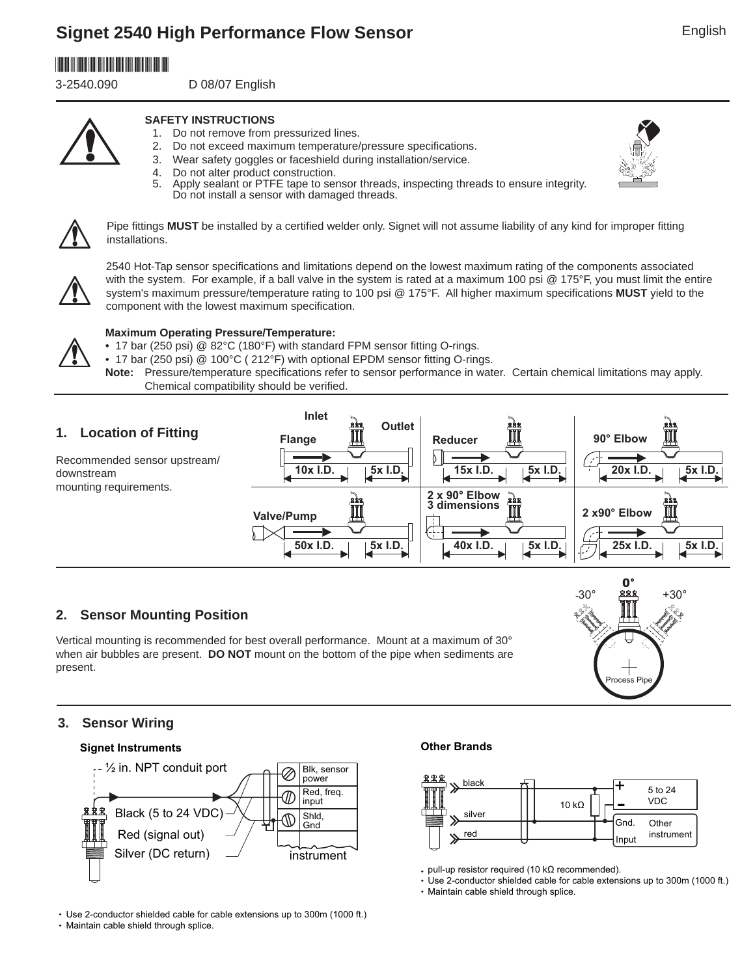# **Signet 2540 High Performance Flow Sensor**



3-2540.090 D 08/07 English





- **SAFETY INSTRUCTIONS**
- 1. Do not remove from pressurized lines.
- 2. Do not exceed maximum temperature/pressure specifications.
- 3. Wear safety goggles or faceshield during installation/service.
- 4. Do not alter product construction.<br>5. Apply sealant or PTFE tape to ser
	- Apply sealant or PTFE tape to sensor threads, inspecting threads to ensure integrity. Do not install a sensor with damaged threads.



Pipe fittings MUST be installed by a certified welder only. Signet will not assume liability of any kind for improper fitting installations.



2540 Hot-Tap sensor specifications and limitations depend on the lowest maximum rating of the components associated with the system. For example, if a ball valve in the system is rated at a maximum 100 psi @ 175°F, you must limit the entire system's maximum pressure/temperature rating to 100 psi @ 175°F. All higher maximum specifications MUST yield to the component with the lowest maximum specification.

### **Maximum Operating Pressure/Temperature:**

- 17 bar (250 psi) @ 82°C (180°F) with standard FPM sensor fitting O-rings.
- 17 bar (250 psi) @ 100°C (212°F) with optional EPDM sensor fitting O-rings.

Note: Pressure/temperature specifications refer to sensor performance in water. Certain chemical limitations may apply. Chemical compatibility should be verified.



## **2. Sensor Mounting Position**

Vertical mounting is recommended for best overall performance. Mount at a maximum of 30° when air bubbles are present. **DO NOT** mount on the bottom of the pipe when sediments are present.



## **3. Sensor Wiring**

## **Signet Instruments Other Brands**



Use 2-conductor shielded cable for cable extensions up to 300m (1000 ft.)

• Maintain cable shield through splice.



- pull-up resistor required (10 kΩ recommended).
- Use 2-conductor shielded cable for cable extensions up to 300m (1000 ft.)
- Maintain cable shield through splice.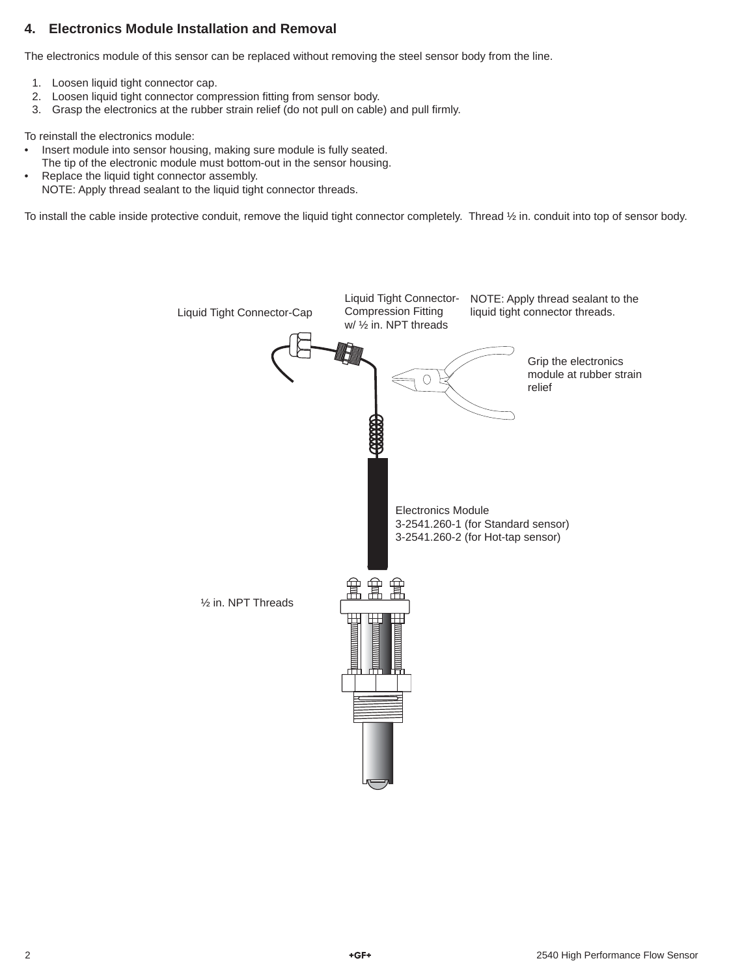## **4. Electronics Module Installation and Removal**

The electronics module of this sensor can be replaced without removing the steel sensor body from the line.

- 1. Loosen liquid tight connector cap.
- 2. Loosen liquid tight connector compression fitting from sensor body.
- 3. Grasp the electronics at the rubber strain relief (do not pull on cable) and pull firmly.

To reinstall the electronics module:

- Insert module into sensor housing, making sure module is fully seated.
- The tip of the electronic module must bottom-out in the sensor housing.
- Replace the liquid tight connector assembly. NOTE: Apply thread sealant to the liquid tight connector threads.

To install the cable inside protective conduit, remove the liquid tight connector completely. Thread ½ in. conduit into top of sensor body.

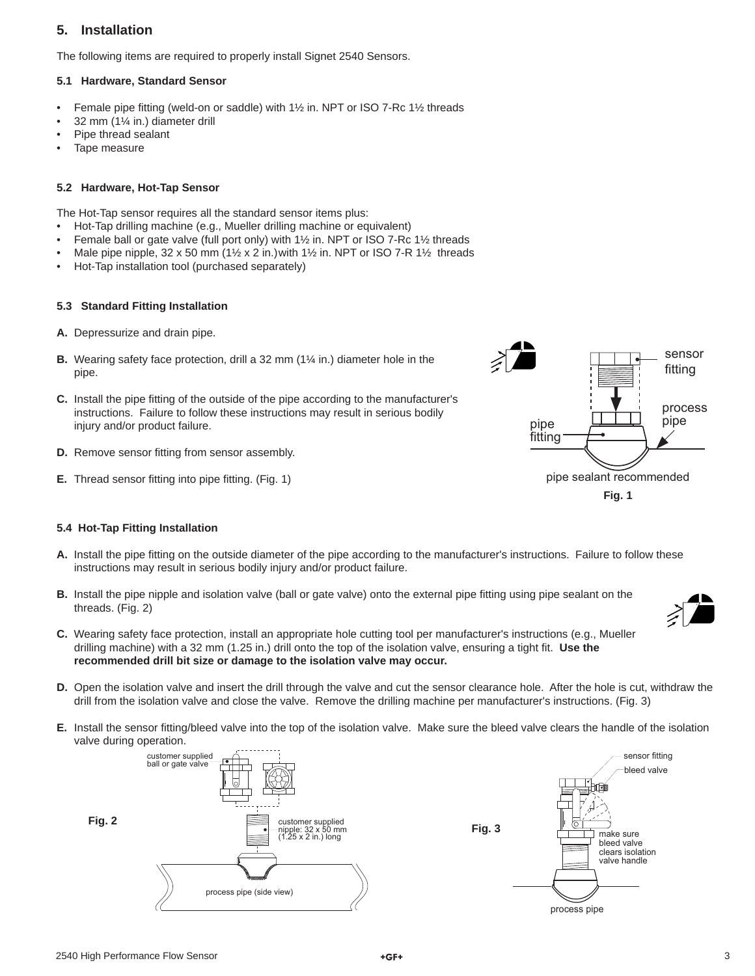## **5. Installation**

The following items are required to properly install Signet 2540 Sensors.

#### **5.1 Hardware, Standard Sensor**

- Female pipe fitting (weld-on or saddle) with  $1\frac{1}{2}$  in. NPT or ISO 7-Rc  $1\frac{1}{2}$  threads
- 32 mm (1¼ in.) diameter drill
- Pipe thread sealant
- Tape measure

#### **5.2 Hardware, Hot-Tap Sensor**

The Hot-Tap sensor requires all the standard sensor items plus:

- Hot-Tap drilling machine (e.g., Mueller drilling machine or equivalent)
- Female ball or gate valve (full port only) with 1½ in. NPT or ISO 7-Rc 1½ threads
- Male pipe nipple,  $32 \times 50$  mm ( $1\frac{1}{2} \times 2$  in.) with  $1\frac{1}{2}$  in. NPT or ISO 7-R  $1\frac{1}{2}$  threads
- Hot-Tap installation tool (purchased separately)

#### **5.3 Standard Fitting Installation**

- **A.** Depressurize and drain pipe.
- **B.** Wearing safety face protection, drill a 32 mm (1¼ in.) diameter hole in the pipe.
- **C.** Install the pipe fitting of the outside of the pipe according to the manufacturer's instructions. Failure to follow these instructions may result in serious bodily injury and/or product failure.
- **D.** Remove sensor fitting from sensor assembly.
- **E.** Thread sensor fitting into pipe fitting. (Fig. 1)



#### **5.4 Hot-Tap Fitting Installation**

- A. Install the pipe fitting on the outside diameter of the pipe according to the manufacturer's instructions. Failure to follow these instructions may result in serious bodily injury and/or product failure.
- **B.** Install the pipe nipple and isolation valve (ball or gate valve) onto the external pipe fitting using pipe sealant on the threads. (Fig. 2)



- **C.** Wearing safety face protection, install an appropriate hole cutting tool per manufacturer's instructions (e.g., Mueller drilling machine) with a 32 mm (1.25 in.) drill onto the top of the isolation valve, ensuring a tight fit. Use the **recommended drill bit size or damage to the isolation valve may occur.**
- **D.** Open the isolation valve and insert the drill through the valve and cut the sensor clearance hole. After the hole is cut, withdraw the drill from the isolation valve and close the valve. Remove the drilling machine per manufacturer's instructions. (Fig. 3)
- **E.** Install the sensor fitting/bleed valve into the top of the isolation valve. Make sure the bleed valve clears the handle of the isolation valve during operation.



sensor fitting bleed valve make sure bleed valve clears isolation valve handle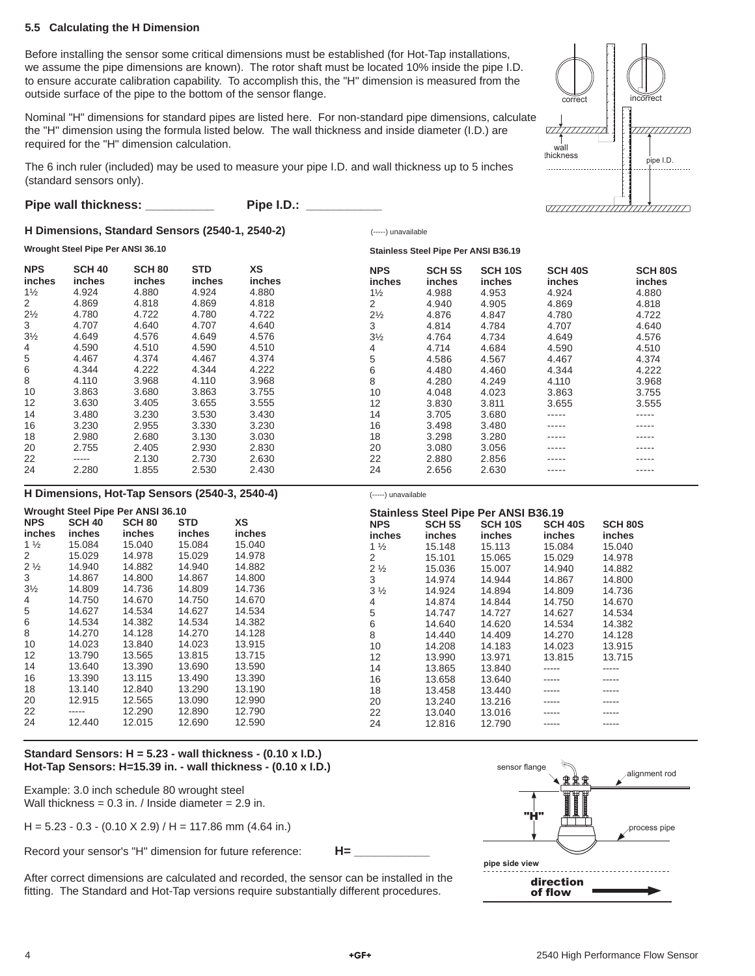#### **5.5 Calculating the H Dimension**

Before installing the sensor some critical dimensions must be established (for Hot-Tap installations, we assume the pipe dimensions are known). The rotor shaft must be located 10% inside the pipe I.D. to ensure accurate calibration capability. To accomplish this, the "H" dimension is measured from the outside surface of the pipe to the bottom of the sensor flange.

Nominal "H" dimensions for standard pipes are listed here. For non-standard pipe dimensions, calculate the "H" dimension using the formula listed below. The wall thickness and inside diameter (I.D.) are required for the "H" dimension calculation.

The 6 inch ruler (included) may be used to measure your pipe I.D. and wall thickness up to 5 inches (standard sensors only).

| Pipe wall thickness: | Pipe I.D.: |  |
|----------------------|------------|--|
|----------------------|------------|--|

#### **H Dimensions, Standard Sensors (2540-1, 2540-2)**

### (-----) unavailable



| Wrought Steel Pipe Per ANSI 36.10 |                         |                                |                      |                     | <b>Stainless Steel Pipe Per ANSI B36.19</b> |                                |                              |                                 |                                      |
|-----------------------------------|-------------------------|--------------------------------|----------------------|---------------------|---------------------------------------------|--------------------------------|------------------------------|---------------------------------|--------------------------------------|
| <b>NPS</b><br>inches              | <b>SCH 40</b><br>inches | <b>SCH 80</b><br><i>inches</i> | <b>STD</b><br>inches | <b>XS</b><br>inches | <b>NPS</b><br><i>inches</i>                 | <b>SCH 5S</b><br><i>inches</i> | SCH <sub>10S</sub><br>inches | <b>SCH 40S</b><br><i>inches</i> | SCH <sub>80</sub> S<br><i>inches</i> |
| $1\frac{1}{2}$                    | 4.924                   | 4.880                          | 4.924                | 4.880               | $1\frac{1}{2}$                              | 4.988                          | 4.953                        | 4.924                           | 4.880                                |
| 2                                 | 4.869                   | 4.818                          | 4.869                | 4.818               | 2                                           | 4.940                          | 4.905                        | 4.869                           | 4.818                                |
| $2\frac{1}{2}$                    | 4.780                   | 4.722                          | 4.780                | 4.722               | $2\frac{1}{2}$                              | 4.876                          | 4.847                        | 4.780                           | 4.722                                |
| 3                                 | 4.707                   | 4.640                          | 4.707                | 4.640               | 3                                           | 4.814                          | 4.784                        | 4.707                           | 4.640                                |
| $3\frac{1}{2}$                    | 4.649                   | 4.576                          | 4.649                | 4.576               | $3\frac{1}{2}$                              | 4.764                          | 4.734                        | 4.649                           | 4.576                                |
| 4                                 | 4.590                   | 4.510                          | 4.590                | 4.510               | 4                                           | 4.714                          | 4.684                        | 4.590                           | 4.510                                |
| 5                                 | 4.467                   | 4.374                          | 4.467                | 4.374               | 5                                           | 4.586                          | 4.567                        | 4.467                           | 4.374                                |
| 6                                 | 4.344                   | 4.222                          | 4.344                | 4.222               | 6                                           | 4.480                          | 4.460                        | 4.344                           | 4.222                                |
| 8                                 | 4.110                   | 3.968                          | 4.110                | 3.968               | 8                                           | 4.280                          | 4.249                        | 4.110                           | 3.968                                |
| 10                                | 3.863                   | 3.680                          | 3.863                | 3.755               | 10                                          | 4.048                          | 4.023                        | 3.863                           | 3.755                                |
| 12                                | 3.630                   | 3.405                          | 3.655                | 3.555               | 12                                          | 3.830                          | 3.811                        | 3.655                           | 3.555                                |
| 14                                | 3.480                   | 3.230                          | 3.530                | 3.430               | 14                                          | 3.705                          | 3.680                        | -----                           | -----                                |
| 16                                | 3.230                   | 2.955                          | 3.330                | 3.230               | 16                                          | 3.498                          | 3.480                        | -----                           | -----                                |
| 18                                | 2.980                   | 2.680                          | 3.130                | 3.030               | 18                                          | 3.298                          | 3.280                        | -----                           | -----                                |
| 20                                | 2.755                   | 2.405                          | 2.930                | 2.830               | 20                                          | 3.080                          | 3.056                        | -----                           | -----                                |
| 22                                | -----                   | 2.130                          | 2.730                | 2.630               | 22                                          | 2.880                          | 2.856                        | -----                           | -----                                |
| 24                                | 2.280                   | 1.855                          | 2.530                | 2.430               | 24                                          | 2.656                          | 2.630                        | -----                           | -----                                |

#### **H Dimensions, Hot-Tap Sensors (2540-3, 2540-4)**

|                 |               | Wrought Steel Pipe Per ANSI 36.10 |            |           |                |               | <b>Stainless Steel Pipe Per ANSI B36.19</b> |                |                |
|-----------------|---------------|-----------------------------------|------------|-----------|----------------|---------------|---------------------------------------------|----------------|----------------|
| <b>NPS</b>      | <b>SCH 40</b> | SCH <sub>80</sub>                 | <b>STD</b> | <b>XS</b> | <b>NPS</b>     | <b>SCH 5S</b> | SCH <sub>10S</sub>                          | <b>SCH 40S</b> | <b>SCH 80S</b> |
| inches          | inches        | inches                            | inches     | inches    | inches         | <i>inches</i> | <i>inches</i>                               | inches         | inches         |
| 1 $\frac{1}{2}$ | 15.084        | 15.040                            | 15.084     | 15.040    | $1\frac{1}{2}$ | 15.148        | 15.113                                      | 15.084         | 15.040         |
| 2               | 15.029        | 14.978                            | 15.029     | 14.978    | 2              | 15.101        | 15.065                                      | 15.029         | 14.978         |
| $2\frac{1}{2}$  | 14.940        | 14.882                            | 14.940     | 14.882    | $2\frac{1}{2}$ | 15.036        | 15.007                                      | 14.940         | 14.882         |
| 3               | 14.867        | 14.800                            | 14.867     | 14.800    | 3              | 14.974        | 14.944                                      | 14.867         | 14.800         |
| $3\frac{1}{2}$  | 14.809        | 14.736                            | 14.809     | 14.736    | $3\frac{1}{2}$ | 14.924        | 14.894                                      | 14.809         | 14.736         |
| 4               | 14.750        | 14.670                            | 14.750     | 14.670    | 4              | 14.874        | 14.844                                      | 14.750         | 14.670         |
| 5               | 14.627        | 14.534                            | 14.627     | 14.534    | 5              | 14.747        | 14.727                                      | 14.627         | 14.534         |
| 6               | 14.534        | 14.382                            | 14.534     | 14.382    | 6              | 14.640        | 14.620                                      | 14.534         | 14.382         |
| 8               | 14.270        | 14.128                            | 14.270     | 14.128    | 8              | 14.440        | 14.409                                      | 14.270         | 14.128         |
| 10              | 14.023        | 13.840                            | 14.023     | 13.915    | 10             | 14.208        | 14.183                                      | 14.023         | 13.915         |
| 12              | 13.790        | 13.565                            | 13.815     | 13.715    | 12             | 13.990        | 13.971                                      | 13.815         | 13.715         |
| 14              | 13.640        | 13.390                            | 13.690     | 13.590    | 14             | 13.865        | 13.840                                      | -----          | -----          |
| 16              | 13.390        | 13.115                            | 13.490     | 13.390    | 16             | 13.658        | 13.640                                      | -----          | -----          |
| 18              | 13.140        | 12.840                            | 13.290     | 13.190    | 18             | 13.458        | 13.440                                      | -----          | -----          |
| 20              | 12.915        | 12.565                            | 13.090     | 12.990    | 20             | 13.240        | 13.216                                      | -----          | -----          |
| 22              | -----         | 12.290                            | 12.890     | 12.790    | 22             | 13.040        | 13.016                                      | -----          |                |
| 24              | 12.440        | 12.015                            | 12.690     | 12.590    | 24             | 12.816        | 12.790                                      | -----          |                |
|                 |               |                                   |            |           |                |               |                                             |                |                |

(-----) unavailable

#### **Standard Sensors: H = 5.23 - wall thickness - (0.10 x I.D.) Hot-Tap Sensors: H=15.39 in. - wall thickness - (0.10 x I.D.)**

Example: 3.0 inch schedule 80 wrought steel Wall thickness =  $0.3$  in. / Inside diameter =  $2.9$  in.

 $H = 5.23 - 0.3 - (0.10 \times 2.9) / H = 117.86$  mm (4.64 in.)

Record your sensor's "H" dimension for future reference: **H=** 

After correct dimensions are calculated and recorded, the sensor can be installed in the fitting. The Standard and Hot-Tap versions require substantially different procedures.

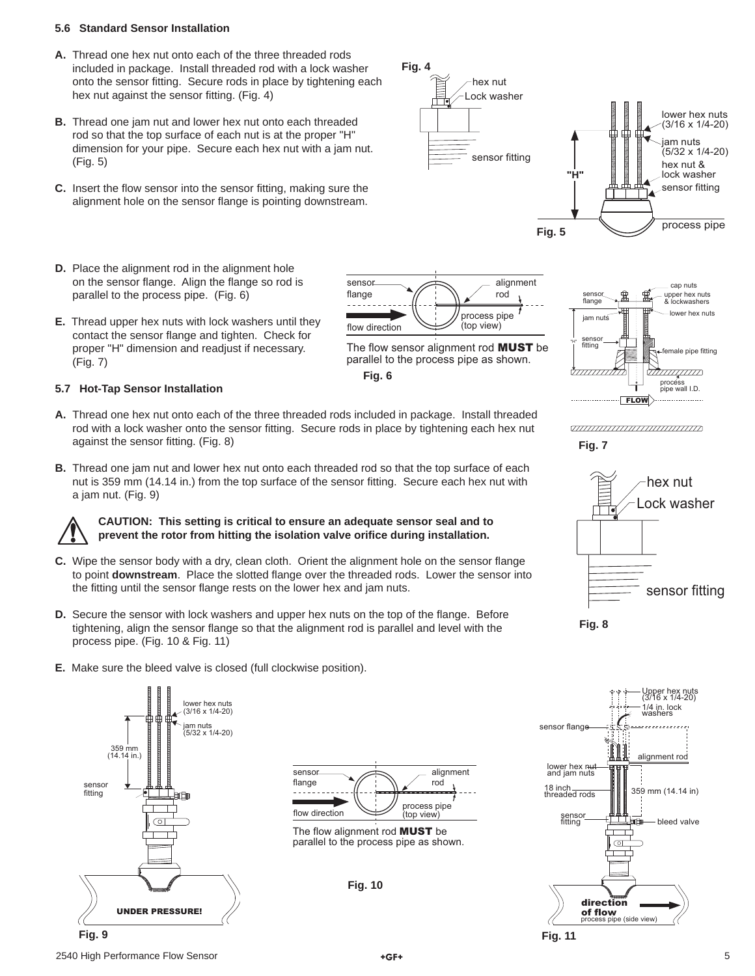#### **5.6 Standard Sensor Installation**

- **A.** Thread one hex nut onto each of the three threaded rods included in package. Install threaded rod with a lock washer onto the sensor fitting. Secure rods in place by tightening each hex nut against the sensor fitting. (Fig. 4)
- **B.** Thread one jam nut and lower hex nut onto each threaded rod so that the top surface of each nut is at the proper "H" dimension for your pipe. Secure each hex nut with a jam nut. (Fig. 5)
- **C.** Insert the flow sensor into the sensor fitting, making sure the alignment hole on the sensor flange is pointing downstream.
- **D.** Place the alignment rod in the alignment hole on the sensor flange. Align the flange so rod is parallel to the process pipe. (Fig. 6)
- **E.** Thread upper hex nuts with lock washers until they contact the sensor flange and tighten. Check for proper "H" dimension and readjust if necessary. (Fig. 7)

#### **5.7 Hot-Tap Sensor Installation**

- **A.** Thread one hex nut onto each of the three threaded rods included in package. Install threaded rod with a lock washer onto the sensor fitting. Secure rods in place by tightening each hex nut against the sensor fitting. (Fig. 8)
- **B.** Thread one jam nut and lower hex nut onto each threaded rod so that the top surface of each nut is 359 mm (14.14 in.) from the top surface of the sensor fitting. Secure each hex nut with a jam nut. (Fig. 9)

**CAUTION: This setting is critical to ensure an adequate sensor seal and to prevent the rotor from hitting the isolation valve orifi ce during installation.** 

- **C.** Wipe the sensor body with a dry, clean cloth. Orient the alignment hole on the sensor flange to point **downstream**. Place the slotted flange over the threaded rods. Lower the sensor into the fitting until the sensor flange rests on the lower hex and jam nuts.
- **D.** Secure the sensor with lock washers and upper hex nuts on the top of the flange. Before tightening, align the sensor flange so that the alignment rod is parallel and level with the process pipe. (Fig. 10 & Fig. 11)
- **E.** Make sure the bleed valve is closed (full clockwise position).







**Fig. 10**









#### ,,,,,,,,,,,,,,,,,,,,,,,,,,,,,,,,,,, **Fig. 7**







2540 High Performance Flow Sensor **5 12540** Sensor **5 12540** Sensor **5 12540** Sensor **5 12540** Sensor **5 1255**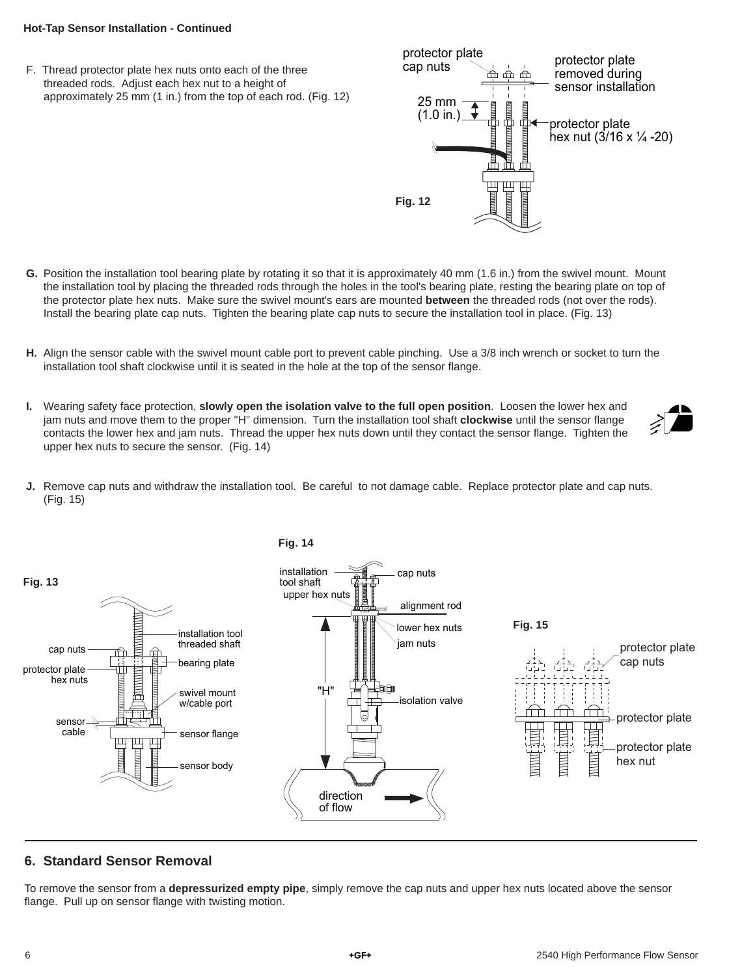#### **Hot-Tap Sensor Installation - Continued**

F. Thread protector plate hex nuts onto each of the three threaded rods. Adjust each hex nut to a height of approximately 25 mm (1 in.) from the top of each rod. (Fig. 12)



- **G.** Position the installation tool bearing plate by rotating it so that it is approximately 40 mm (1.6 in.) from the swivel mount. Mount the installation tool by placing the threaded rods through the holes in the tool's bearing plate, resting the bearing plate on top of the protector plate hex nuts. Make sure the swivel mount's ears are mounted **between** the threaded rods (not over the rods). Install the bearing plate cap nuts. Tighten the bearing plate cap nuts to secure the installation tool in place. (Fig. 13)
- **H.** Align the sensor cable with the swivel mount cable port to prevent cable pinching. Use a 3/8 inch wrench or socket to turn the installation tool shaft clockwise until it is seated in the hole at the top of the sensor flange.
- **I.** Wearing safety face protection, **slowly open the isolation valve to the full open position**. Loosen the lower hex and jam nuts and move them to the proper "H" dimension. Turn the installation tool shaft **clockwise** until the sensor flange contacts the lower hex and jam nuts. Thread the upper hex nuts down until they contact the sensor flange. Tighten the upper hex nuts to secure the sensor. (Fig. 14)
- **J.** Remove cap nuts and withdraw the installation tool. Be careful to not damage cable. Replace protector plate and cap nuts. (Fig. 15)



## **6. Standard Sensor Removal**

To remove the sensor from a **depressurized empty pipe**, simply remove the cap nuts and upper hex nuts located above the sensor flange. Pull up on sensor flange with twisting motion.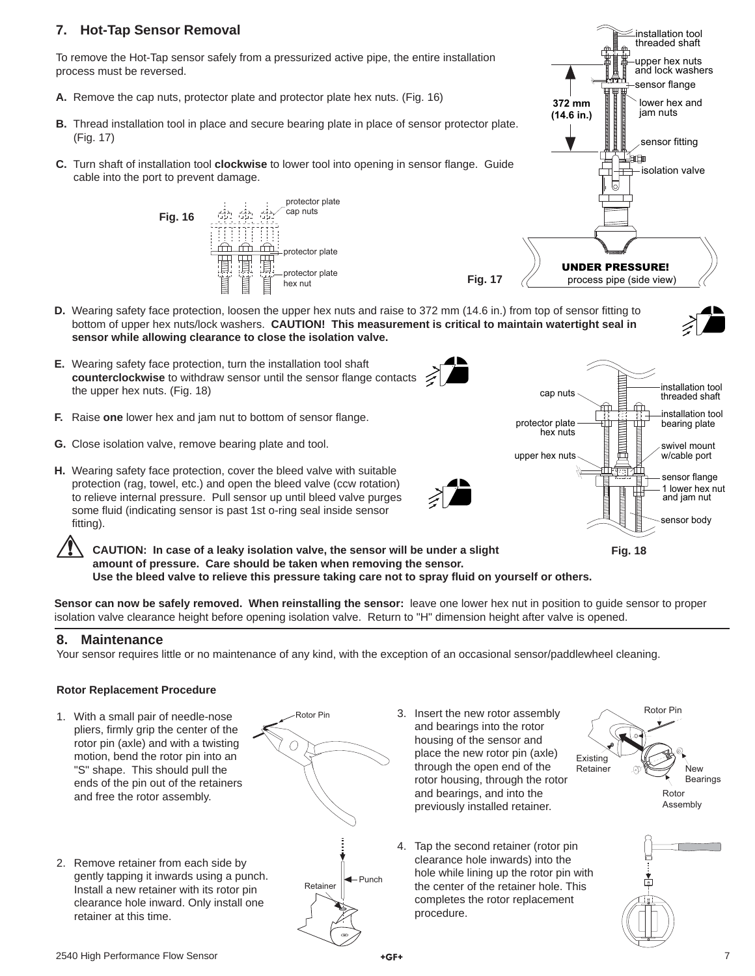## **7. Hot-Tap Sensor Removal**

To remove the Hot-Tap sensor safely from a pressurized active pipe, the entire installation process must be reversed.

- **A.** Remove the cap nuts, protector plate and protector plate hex nuts. (Fig. 16)
- **B.** Thread installation tool in place and secure bearing plate in place of sensor protector plate. (Fig. 17)
- **C.** Turn shaft of installation tool **clockwise** to lower tool into opening in sensor flange. Guide cable into the port to prevent damage.





protector plate bearing plate

**Fig. 18**

cap nuts

upper hex nuts

**Fig. 17**

- **D.** Wearing safety face protection, loosen the upper hex nuts and raise to 372 mm (14.6 in.) from top of sensor fitting to bottom of upper hex nuts/lock washers. **CAUTION! This measurement is critical to maintain watertight seal in sensor while allowing clearance to close the isolation valve.**
- **E.** Wearing safety face protection, turn the installation tool shaft **counterclockwise** to withdraw sensor until the sensor flange contacts the upper hex nuts. (Fig. 18)
- **F.** Raise one lower hex and jam nut to bottom of sensor flange.
- **G.** Close isolation valve, remove bearing plate and tool.
- **H.** Wearing safety face protection, cover the bleed valve with suitable protection (rag, towel, etc.) and open the bleed valve (ccw rotation) to relieve internal pressure. Pull sensor up until bleed valve purges some fluid (indicating sensor is past 1st o-ring seal inside sensor fitting).

**CAUTION: In case of a leaky isolation valve, the sensor will be under a slight amount of pressure. Care should be taken when removing the sensor. Use the bleed valve to relieve this pressure taking care not to spray fl uid on yourself or others.** 

**Sensor can now be safely removed. When reinstalling the sensor:** leave one lower hex nut in position to guide sensor to proper isolation valve clearance height before opening isolation valve. Return to "H" dimension height after valve is opened.

### **8. Maintenance**

Your sensor requires little or no maintenance of any kind, with the exception of an occasional sensor/paddlewheel cleaning.

### **Rotor Replacement Procedure**

- 1. With a small pair of needle-nose pliers, firmly grip the center of the rotor pin (axle) and with a twisting motion, bend the rotor pin into an "S" shape. This should pull the ends of the pin out of the retainers and free the rotor assembly.
- 2. Remove retainer from each side by gently tapping it inwards using a punch. Install a new retainer with its rotor pin clearance hole inward. Only install one retainer at this time.



- 3. Insert the new rotor assembly and bearings into the rotor housing of the sensor and place the new rotor pin (axle) through the open end of the rotor housing, through the rotor and bearings, and into the previously installed retainer.
- 4. Tap the second retainer (rotor pin clearance hole inwards) into the hole while lining up the rotor pin with the center of the retainer hole. This completes the rotor replacement procedure.



installation tool threaded shaft

installation tool

sensor flange

swivel mount w/cable port

1 lower hex nut and jam nut sensor body



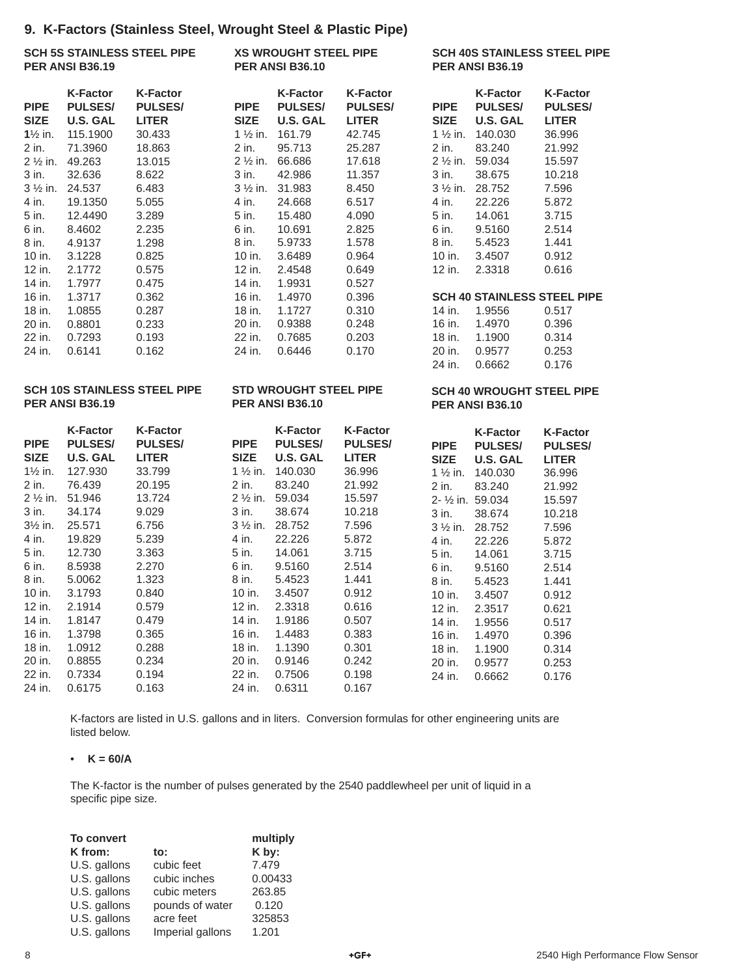## **9. K-Factors (Stainless Steel, Wrought Steel & Plastic Pipe)**

|                                                              |                                                                  | $\sigma$ . It ractors (Glamicss Older, Milought Older & Figstion ipc) |                                                         |                                                                          |                                                               |                                                            |                                                                 |                                                             |
|--------------------------------------------------------------|------------------------------------------------------------------|-----------------------------------------------------------------------|---------------------------------------------------------|--------------------------------------------------------------------------|---------------------------------------------------------------|------------------------------------------------------------|-----------------------------------------------------------------|-------------------------------------------------------------|
| <b>SCH 5S STAINLESS STEEL PIPE</b><br><b>PER ANSI B36.19</b> |                                                                  | <b>XS WROUGHT STEEL PIPE</b><br><b>PER ANSI B36.10</b>                |                                                         |                                                                          | <b>SCH 40S STAINLESS STEEL PIPE</b><br><b>PER ANSI B36.19</b> |                                                            |                                                                 |                                                             |
| <b>PIPE</b><br><b>SIZE</b><br>$1\frac{1}{2}$ in.             | <b>K-Factor</b><br><b>PULSES/</b><br><b>U.S. GAL</b><br>115.1900 | <b>K-Factor</b><br><b>PULSES/</b><br><b>LITER</b><br>30.433           | <b>PIPE</b><br><b>SIZE</b>                              | <b>K-Factor</b><br><b>PULSES/</b><br><b>U.S. GAL</b><br>1 1/2 in. 161.79 | <b>K-Factor</b><br><b>PULSES/</b><br><b>LITER</b><br>42.745   | <b>PIPE</b><br><b>SIZE</b><br>$1\frac{1}{2}$ in.           | <b>K-Factor</b><br><b>PULSES/</b><br><b>U.S. GAL</b><br>140.030 | <b>K-Factor</b><br><b>PULSES/</b><br><b>LITER</b><br>36.996 |
| 2 in.<br>$2\frac{1}{2}$ in.                                  | 71.3960<br>49.263                                                | 18.863<br>13.015                                                      | 2 in.                                                   | 95.713<br>2 1/2 in. 66.686                                               | 25.287<br>17.618                                              | 2 in.<br>$2\frac{1}{2}$ in.                                | 83.240<br>59.034                                                | 21.992<br>15.597                                            |
| 3 in.                                                        | 32.636<br>3 1/2 in. 24.537                                       | 8.622<br>6.483                                                        | 3 in.                                                   | 42.986<br>3 1/2 in. 31.983                                               | 11.357<br>8.450                                               | 3 in.<br>$3\frac{1}{2}$ in.                                | 38.675<br>28.752                                                | 10.218<br>7.596                                             |
| 4 in.<br>5 in.                                               | 19.1350<br>12.4490                                               | 5.055<br>3.289                                                        | 4 in.<br>5 in.                                          | 24.668<br>15.480                                                         | 6.517<br>4.090                                                | 4 in.<br>5 in.                                             | 22.226<br>14.061                                                | 5.872<br>3.715                                              |
| 6 in.<br>8 in.                                               | 8.4602<br>4.9137                                                 | 2.235<br>1.298                                                        | 6 in.<br>8 in.                                          | 10.691<br>5.9733                                                         | 2.825<br>1.578                                                | 6 in.<br>8 in.                                             | 9.5160<br>5.4523                                                | 2.514<br>1.441                                              |
| 10 in.<br>12 in.<br>14 in.                                   | 3.1228<br>2.1772<br>1.7977                                       | 0.825<br>0.575<br>0.475                                               | 10 in.<br>12 in.<br>14 in.                              | 3.6489<br>2.4548<br>1.9931                                               | 0.964<br>0.649<br>0.527                                       | 10 in.<br>12 in.                                           | 3.4507<br>2.3318                                                | 0.912<br>0.616                                              |
| 16 in.<br>18 in.                                             | 1.3717<br>1.0855                                                 | 0.362<br>0.287                                                        | 16 in.<br>18 in.                                        | 1.4970<br>1.1727                                                         | 0.396<br>0.310                                                | 14 in.                                                     | <b>SCH 40 STAINLESS STEEL PIPE</b><br>1.9556                    | 0.517                                                       |
| 20 in.<br>22 in.                                             | 0.8801<br>0.7293                                                 | 0.233<br>0.193                                                        | 20 in.<br>22 in.                                        | 0.9388<br>0.7685                                                         | 0.248<br>0.203                                                | 16 in.<br>18 in.                                           | 1.4970<br>1.1900                                                | 0.396<br>0.314                                              |
| 24 in.                                                       | 0.6141                                                           | 0.162                                                                 | 24 in.                                                  | 0.6446                                                                   | 0.170                                                         | 20 in.<br>24 in.                                           | 0.9577<br>0.6662                                                | 0.253<br>0.176                                              |
|                                                              | <b>PER ANSI B36.19</b>                                           | <b>SCH 10S STAINLESS STEEL PIPE</b>                                   | <b>STD WROUGHT STEEL PIPE</b><br><b>PER ANSI B36.10</b> |                                                                          |                                                               | <b>SCH 40 WROUGHT STEEL PIPE</b><br><b>PER ANSI B36.10</b> |                                                                 |                                                             |
| <b>PIPE</b><br><b>SIZE</b>                                   | <b>K-Factor</b><br><b>PULSES/</b><br><b>U.S. GAL</b>             | <b>K-Factor</b><br><b>PULSES/</b><br><b>LITER</b>                     | <b>PIPE</b><br><b>SIZE</b>                              | <b>K-Factor</b><br><b>PULSES/</b><br><b>U.S. GAL</b>                     | <b>K-Factor</b><br><b>PULSES/</b><br><b>LITER</b>             | <b>PIPE</b><br><b>SIZE</b>                                 | <b>K-Factor</b><br><b>PULSES/</b><br><b>U.S. GAL</b>            | <b>K-Factor</b><br><b>PULSES/</b><br><b>LITER</b>           |
| $1\frac{1}{2}$ in.<br>2 in.                                  | 127.930<br>76.439                                                | 33.799<br>20.195                                                      | 2 in.                                                   | 1 1/2 in. 140.030<br>83.240                                              | 36.996<br>21.992                                              | $1\frac{1}{2}$ in.                                         | 140.030                                                         | 36.996                                                      |
| 2 1/ <sub>2</sub> in.<br>3 in.                               | 51.946<br>34.174                                                 | 13.724<br>9.029                                                       | 2 1/2 in. 59.034<br>$3$ in.                             | 38.674                                                                   | 15.597<br>10.218                                              | 2 in.                                                      | 83.240<br>2- 1/2 in. 59.034                                     | 21.992<br>15.597                                            |
| $3\frac{1}{2}$ in.                                           | 25.571                                                           | 6.756                                                                 | 3 1/2 in. 28.752                                        |                                                                          | 7.596                                                         | 3 in.                                                      | 38.674<br>3 1/2 in. 28.752                                      | 10.218<br>7.596                                             |
| 4 in.<br>5 in.                                               | 19.829<br>12.730                                                 | 5.239<br>3.363                                                        | 4 in.<br>5 in.                                          | 22.226<br>14.061                                                         | 5.872<br>3.715                                                | 4 in.<br>5 in.                                             | 22.226<br>14.061                                                | 5.872<br>3.715                                              |
| 6 in.<br>8 in.                                               | 8.5938<br>5.0062                                                 | 2.270<br>1.323                                                        | 6 in.<br>8 in.                                          | 9.5160<br>5.4523                                                         | 2.514<br>1.441                                                | 6 in.<br>8 in.                                             | 9.5160<br>5.4523                                                | 2.514<br>1.441                                              |
| 10 in.<br>12 in.                                             | 3.1793<br>2.1914                                                 | 0.840<br>0.579                                                        | 10 in.<br>12 in.                                        | 3.4507<br>2.3318                                                         | 0.912<br>0.616                                                | 10 in.<br>12 in.                                           | 3.4507<br>2.3517                                                | 0.912<br>0.621                                              |
| 14 in.<br>16 in.                                             | 1.8147<br>1.3798                                                 | 0.479<br>0.365                                                        | 14 in.<br>16 in.                                        | 1.9186<br>1.4483                                                         | 0.507<br>0.383                                                | 14 in.<br>16 in.                                           | 1.9556<br>1.4970                                                | 0.517<br>0.396                                              |
| 18 in.<br>20 in.                                             | 1.0912<br>0.8855                                                 | 0.288<br>0.234                                                        | 18 in.<br>20 in.                                        | 1.1390<br>0.9146                                                         | 0.301<br>0.242                                                | 18 in.<br>20 in.                                           | 1.1900<br>0.9577                                                | 0.314<br>0.253                                              |
| 22 in.<br>24 in.                                             | 0.7334<br>0.6175                                                 | 0.194<br>0.163                                                        | 22 in.<br>24 in.                                        | 0.7506<br>0.6311                                                         | 0.198<br>0.167                                                | 24 in.                                                     | 0.6662                                                          | 0.176                                                       |

K-factors are listed in U.S. gallons and in liters. Conversion formulas for other engineering units are listed below.

#### • **K = 60/A**

The K-factor is the number of pulses generated by the 2540 paddlewheel per unit of liquid in a specific pipe size.

| To convert   |                  | multiply |
|--------------|------------------|----------|
| K from:      | to:              | K by:    |
| U.S. gallons | cubic feet       | 7.479    |
| U.S. gallons | cubic inches     | 0.00433  |
| U.S. gallons | cubic meters     | 263.85   |
| U.S. gallons | pounds of water  | 0.120    |
| U.S. gallons | acre feet        | 325853   |
| U.S. gallons | Imperial gallons | 1.201    |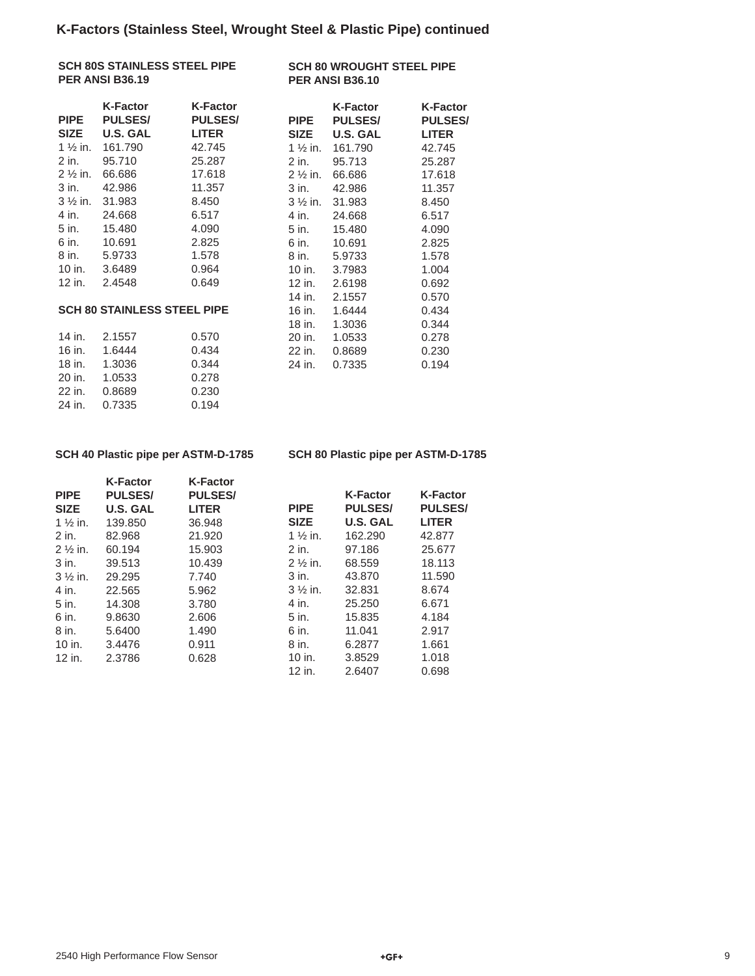| <b>SCH 80S STAINLESS STEEL PIPE</b> |  |  |
|-------------------------------------|--|--|
| <b>PER ANSI B36.19</b>              |  |  |

**SCH 80 WROUGHT STEEL PIPE PER ANSI B36.10** 

| <b>PIPE</b>         | <b>K-Factor</b><br><b>PULSES/</b>  | <b>K-Factor</b><br><b>PULSES/</b> | <b>PIPE</b>         | <b>K-Factor</b><br><b>PULSES/</b> | <b>K-Factor</b><br><b>PULSES</b> |
|---------------------|------------------------------------|-----------------------------------|---------------------|-----------------------------------|----------------------------------|
| <b>SIZE</b>         | <b>U.S. GAL</b>                    | <b>LITER</b>                      | <b>SIZE</b>         | <b>U.S. GAL</b>                   | <b>LITER</b>                     |
| 1 $\frac{1}{2}$ in. | 161.790                            | 42.745                            | 1 $\frac{1}{2}$ in. | 161.790                           | 42.745                           |
| 2 in.               | 95.710                             | 25.287                            | 2 in.               | 95.713                            | 25.287                           |
| $2\frac{1}{2}$ in.  | 66.686                             | 17.618                            | $2\frac{1}{2}$ in.  | 66.686                            | 17.618                           |
| 3 in.               | 42.986                             | 11.357                            | 3 in.               | 42.986                            | 11.357                           |
| $3\frac{1}{2}$ in.  | 31.983                             | 8.450                             | $3\frac{1}{2}$ in.  | 31.983                            | 8.450                            |
| 4 in.               | 24.668                             | 6.517                             | 4 in.               | 24.668                            | 6.517                            |
| 5 in.               | 15.480                             | 4.090                             | 5 in.               | 15.480                            | 4.090                            |
| 6 in.               | 10.691                             | 2.825                             | 6 in.               | 10.691                            | 2.825                            |
| 8 in.               | 5.9733                             | 1.578                             | 8 in.               | 5.9733                            | 1.578                            |
| 10 in.              | 3.6489                             | 0.964                             | 10 in.              | 3.7983                            | 1.004                            |
| 12 in.              | 2.4548                             | 0.649                             | 12 in.              | 2.6198                            | 0.692                            |
|                     |                                    |                                   | 14 in.              | 2.1557                            | 0.570                            |
|                     | <b>SCH 80 STAINLESS STEEL PIPE</b> |                                   | 16 in.              | 1.6444                            | 0.434                            |
|                     |                                    |                                   | 18 in.              | 1.3036                            | 0.344                            |
| 14 in.              | 2.1557                             | 0.570                             | 20 in.              | 1.0533                            | 0.278                            |
| 16 in.              | 1.6444                             | 0.434                             | 22 in.              | 0.8689                            | 0.230                            |
| 18 in.              | 1.3036                             | 0.344                             | 24 in.              | 0.7335                            | 0.194                            |
| 20 in.              | 1.0533                             | 0.278                             |                     |                                   |                                  |
| 22 in.              | 0.8689                             | 0.230                             |                     |                                   |                                  |
| 24 in.              | 0.7335                             | 0.194                             |                     |                                   |                                  |
|                     |                                    |                                   |                     |                                   |                                  |

#### **SCH 40 Plastic pipe per ASTM-D-1785**

**SCH 80 Plastic pipe per ASTM-D-1785** 

| <b>PIPE</b>        | <b>K-Factor</b><br><b>PULSES/</b> | <b>K-Factor</b><br><b>PULSES/</b> |                     | <b>K-Factor</b> | <b>K-Factor</b> |
|--------------------|-----------------------------------|-----------------------------------|---------------------|-----------------|-----------------|
| <b>SIZE</b>        | U.S. GAL                          | <b>LITER</b>                      | <b>PIPE</b>         | <b>PULSES/</b>  | <b>PULSES/</b>  |
| $1\frac{1}{2}$ in. | 139.850                           | 36.948                            | <b>SIZE</b>         | <b>U.S. GAL</b> | <b>LITER</b>    |
| 2 in.              | 82.968                            | 21.920                            | 1 $\frac{1}{2}$ in. | 162.290         | 42.877          |
| $2\frac{1}{2}$ in. | 60.194                            | 15.903                            | 2 in.               | 97.186          | 25.677          |
| 3 in.              | 39.513                            | 10.439                            | $2\frac{1}{2}$ in.  | 68.559          | 18.113          |
| $3\frac{1}{2}$ in. | 29.295                            | 7.740                             | 3 in.               | 43,870          | 11.590          |
| 4 in.              | 22.565                            | 5.962                             | $3\frac{1}{2}$ in.  | 32.831          | 8.674           |
| 5 in.              | 14.308                            | 3.780                             | 4 in.               | 25.250          | 6.671           |
| 6 in.              | 9.8630                            | 2.606                             | 5 in.               | 15.835          | 4.184           |
| 8 in.              | 5.6400                            | 1.490                             | 6 in.               | 11.041          | 2.917           |
| 10 in.             | 3.4476                            | 0.911                             | 8 in.               | 6.2877          | 1.661           |
| 12 in.             | 2.3786                            | 0.628                             | 10 in.              | 3.8529          | 1.018           |
|                    |                                   |                                   | 12 in.              | 2.6407          | 0.698           |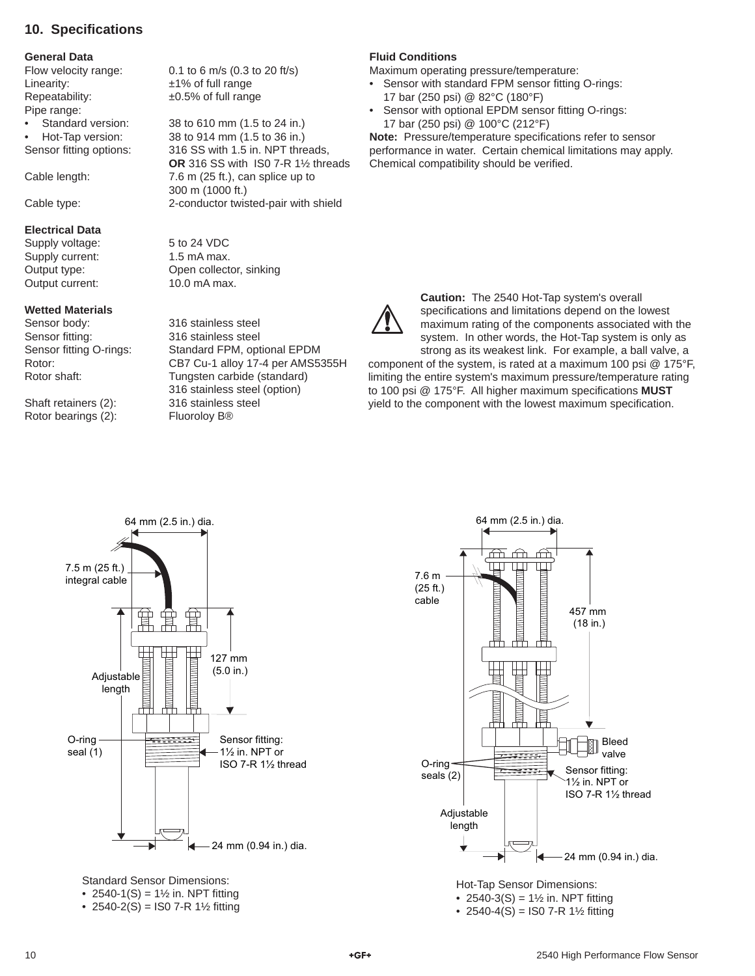## **10. Specifi cations**

#### **General Data**

Linearity:  $\pm 1\%$  of full range Repeatability: ±0.5% of full range Pipe range:

#### **Electrical Data**

Supply voltage: 5 to 24 VDC Supply current: 1.5 mA max. Output current: 10.0 mA max.

#### **Wetted Materials**

Sensor body: 316 stainless steel Sensor fitting: 316 stainless steel

Shaft retainers (2): 316 stainless steel Rotor bearings (2): Fluoroloy B<sup>®</sup>

Flow velocity range: 0.1 to 6 m/s (0.3 to 20 ft/s)

• Standard version: 38 to 610 mm (1.5 to 24 in.) • Hot-Tap version: 38 to 914 mm (1.5 to 36 in.) Sensor fitting options: 316 SS with 1.5 in. NPT threads, **OR** 316 SS with IS0 7-R 1½ threads Cable length: 7.6 m (25 ft.), can splice up to 300 m (1000 ft.) Cable type: 2-conductor twisted-pair with shield

Output type: Open collector, sinking

Sensor fitting O-rings: Standard FPM, optional EPDM Rotor: CB7 Cu-1 alloy 17-4 per AMS5355H Rotor shaft: Tungsten carbide (standard) 316 stainless steel (option)

#### **Fluid Conditions**

Maximum operating pressure/temperature:

- Sensor with standard FPM sensor fitting O-rings: 17 bar (250 psi) @ 82°C (180°F)
- Sensor with optional EPDM sensor fitting O-rings: 17 bar (250 psi) @ 100°C (212°F)

**Note:** Pressure/temperature specifications refer to sensor performance in water. Certain chemical limitations may apply. Chemical compatibility should be verified.



**Caution:** The 2540 Hot-Tap system's overall specifications and limitations depend on the lowest maximum rating of the components associated with the system. In other words, the Hot-Tap system is only as strong as its weakest link. For example, a ball valve, a

component of the system, is rated at a maximum 100 psi @ 175°F, limiting the entire system's maximum pressure/temperature rating to 100 psi @ 175°F. All higher maximum specifications **MUST** yield to the component with the lowest maximum specification.



Standard Sensor Dimensions: • 2540-1(S) =  $1\frac{1}{2}$  in. NPT fitting • 2540-2(S) = IS0 7-R 1½ fitting

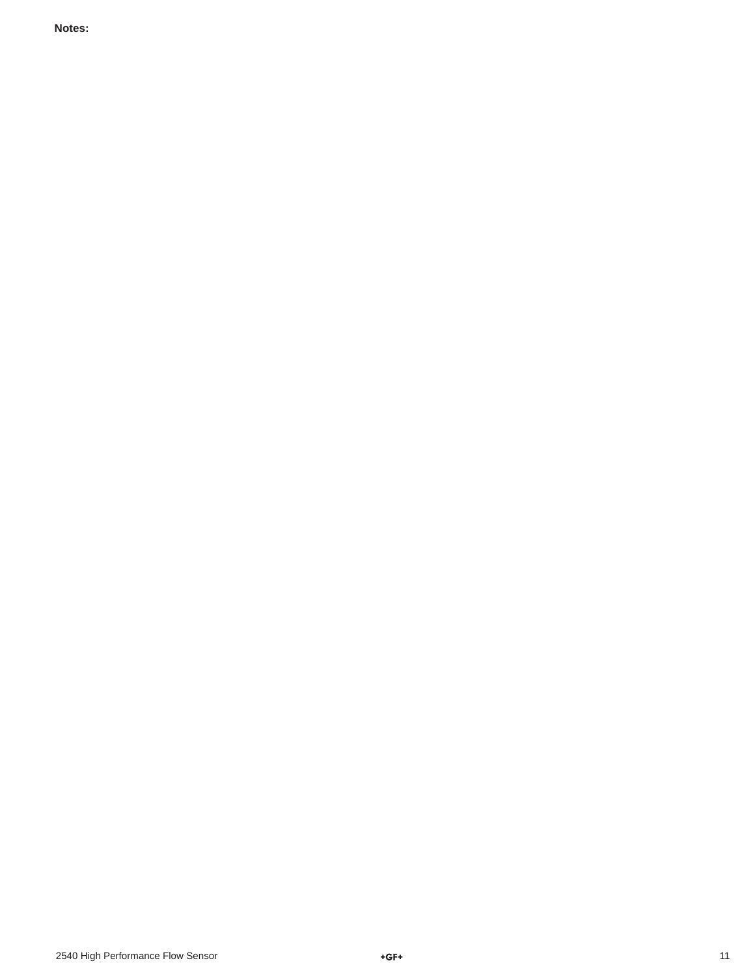**Notes:**